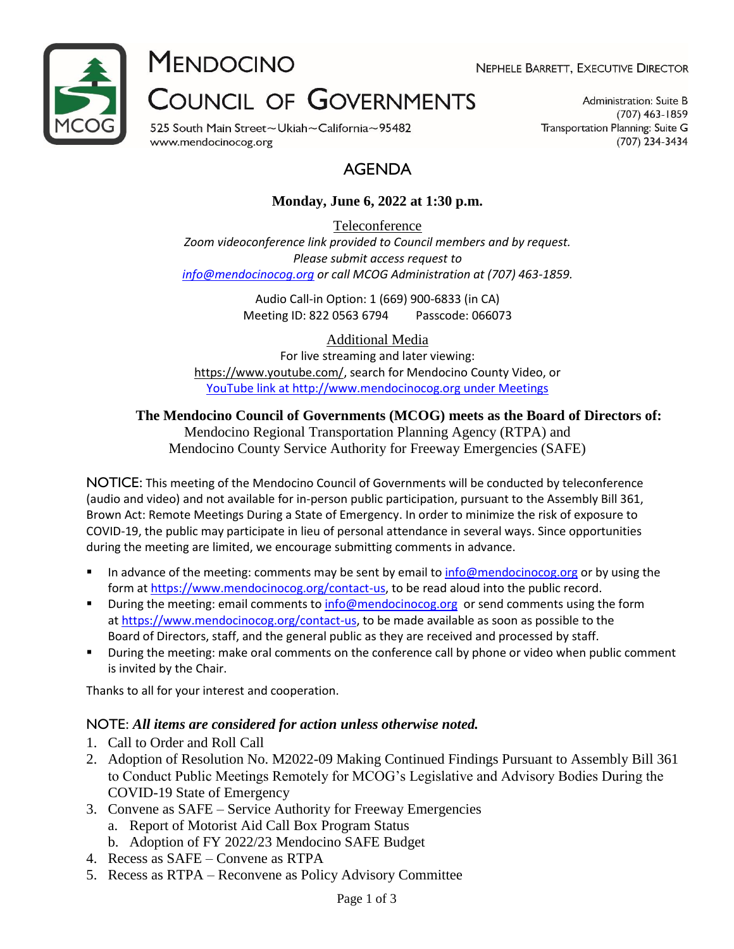

**MENDOCINO** 

NEPHELE BARRETT, EXECUTIVE DIRECTOR

# **COUNCIL OF GOVERNMENTS**

525 South Main Street~Ukiah~California~95482 www.mendocinocog.org

Administration: Suite B  $(707)$  463-1859 Transportation Planning: Suite G (707) 234-3434

# AGENDA

# **Monday, June 6, 2022 at 1:30 p.m.**

Teleconference *Zoom videoconference link provided to Council members and by request. Please submit access request to [info@mendocinocog.org](mailto:info@mendocinocog.org) or call MCOG Administration at (707) 463-1859.*

> Audio Call-in Option: 1 (669) 900-6833 (in CA) Meeting ID: 822 0563 6794 Passcode: 066073

> > Additional Media

For live streaming and later viewing: [https://www.youtube.com/,](https://www.youtube.com/) search for Mendocino County Video, or [YouTube link at http://www.mendocinocog.org under Meetings](https://www.mendocinocog.org/meetings)

# **The Mendocino Council of Governments (MCOG) meets as the Board of Directors of:**

Mendocino Regional Transportation Planning Agency (RTPA) and Mendocino County Service Authority for Freeway Emergencies (SAFE)

NOTICE: This meeting of the Mendocino Council of Governments will be conducted by teleconference (audio and video) and not available for in-person public participation, pursuant to the Assembly Bill 361, Brown Act: Remote Meetings During a State of Emergency. In order to minimize the risk of exposure to COVID-19, the public may participate in lieu of personal attendance in several ways. Since opportunities during the meeting are limited, we encourage submitting comments in advance.

- In advance of the meeting: comments may be sent by email to [info@mendocinocog.org](mailto:info@mendocinocog.org) or by using the form at [https://www.mendocinocog.org/contact-us,](https://www.mendocinocog.org/contact-us) to be read aloud into the public record.
- **•** During the meeting: email comments to [info@mendocinocog.org](mailto:info@mendocinocog.org) or send comments using the form at [https://www.mendocinocog.org/contact-us,](https://www.mendocinocog.org/contact-us) to be made available as soon as possible to the Board of Directors, staff, and the general public as they are received and processed by staff.
- During the meeting: make oral comments on the conference call by phone or video when public comment is invited by the Chair.

Thanks to all for your interest and cooperation.

## NOTE: *All items are considered for action unless otherwise noted.*

- 1. Call to Order and Roll Call
- 2. Adoption of Resolution No. M2022-09 Making Continued Findings Pursuant to Assembly Bill 361 to Conduct Public Meetings Remotely for MCOG's Legislative and Advisory Bodies During the COVID-19 State of Emergency
- 3. Convene as SAFE Service Authority for Freeway Emergencies
	- a. Report of Motorist Aid Call Box Program Status
	- b. Adoption of FY 2022/23 Mendocino SAFE Budget
- 4. Recess as SAFE Convene as RTPA
- 5. Recess as RTPA Reconvene as Policy Advisory Committee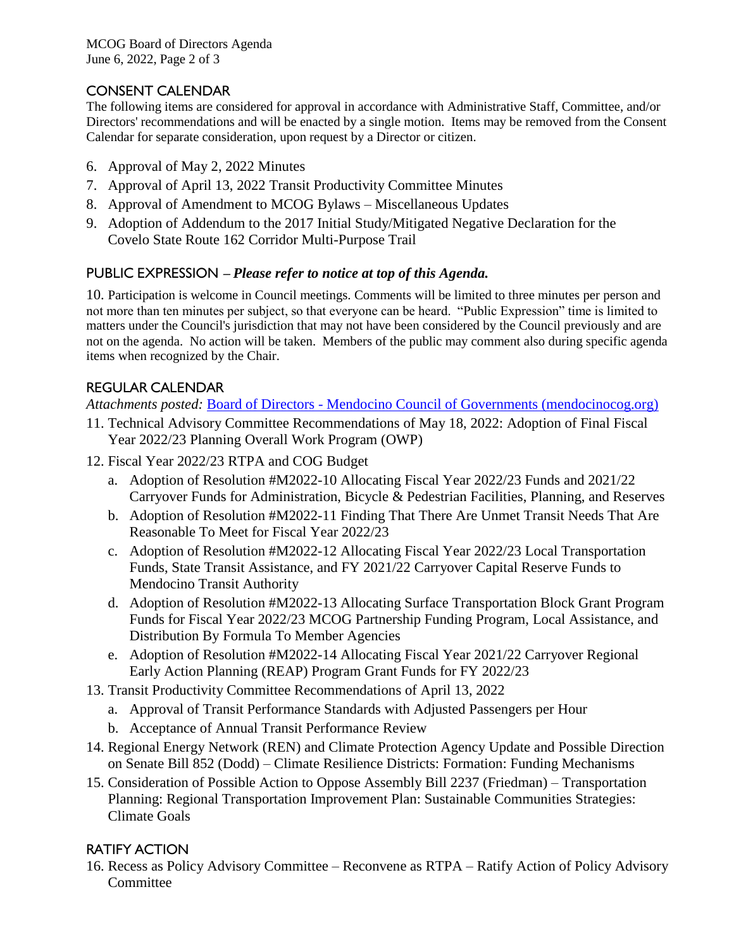MCOG Board of Directors Agenda June 6, 2022, Page 2 of 3

# CONSENT CALENDAR

The following items are considered for approval in accordance with Administrative Staff, Committee, and/or Directors' recommendations and will be enacted by a single motion. Items may be removed from the Consent Calendar for separate consideration, upon request by a Director or citizen.

- 6. Approval of May 2, 2022 Minutes
- 7. Approval of April 13, 2022 Transit Productivity Committee Minutes
- 8. Approval of Amendment to MCOG Bylaws Miscellaneous Updates
- 9. Adoption of Addendum to the 2017 Initial Study/Mitigated Negative Declaration for the Covelo State Route 162 Corridor Multi-Purpose Trail

## PUBLIC EXPRESSION – *Please refer to notice at top of this Agenda.*

10. Participation is welcome in Council meetings. Comments will be limited to three minutes per person and not more than ten minutes per subject, so that everyone can be heard. "Public Expression" time is limited to matters under the Council's jurisdiction that may not have been considered by the Council previously and are not on the agenda. No action will be taken. Members of the public may comment also during specific agenda items when recognized by the Chair.

## REGULAR CALENDAR

*Attachments posted:* Board of Directors - [Mendocino Council of Governments \(mendocinocog.org\)](https://www.mendocinocog.org/board-of-directors)

- 11. Technical Advisory Committee Recommendations of May 18, 2022: Adoption of Final Fiscal Year 2022/23 Planning Overall Work Program (OWP)
- 12. Fiscal Year 2022/23 RTPA and COG Budget
	- a. Adoption of Resolution #M2022-10 Allocating Fiscal Year 2022/23 Funds and 2021/22 Carryover Funds for Administration, Bicycle & Pedestrian Facilities, Planning, and Reserves
	- b. Adoption of Resolution #M2022-11 Finding That There Are Unmet Transit Needs That Are Reasonable To Meet for Fiscal Year 2022/23
	- c. Adoption of Resolution #M2022-12 Allocating Fiscal Year 2022/23 Local Transportation Funds, State Transit Assistance, and FY 2021/22 Carryover Capital Reserve Funds to Mendocino Transit Authority
	- d. Adoption of Resolution #M2022-13 Allocating Surface Transportation Block Grant Program Funds for Fiscal Year 2022/23 MCOG Partnership Funding Program, Local Assistance, and Distribution By Formula To Member Agencies
	- e. Adoption of Resolution #M2022-14 Allocating Fiscal Year 2021/22 Carryover Regional Early Action Planning (REAP) Program Grant Funds for FY 2022/23
- 13. Transit Productivity Committee Recommendations of April 13, 2022
	- a. Approval of Transit Performance Standards with Adjusted Passengers per Hour
	- b. Acceptance of Annual Transit Performance Review
- 14. Regional Energy Network (REN) and Climate Protection Agency Update and Possible Direction on Senate Bill 852 (Dodd) – Climate Resilience Districts: Formation: Funding Mechanisms
- 15. Consideration of Possible Action to Oppose Assembly Bill 2237 (Friedman) Transportation Planning: Regional Transportation Improvement Plan: Sustainable Communities Strategies: Climate Goals

## RATIFY ACTION

16. Recess as Policy Advisory Committee – Reconvene as RTPA – Ratify Action of Policy Advisory **Committee**